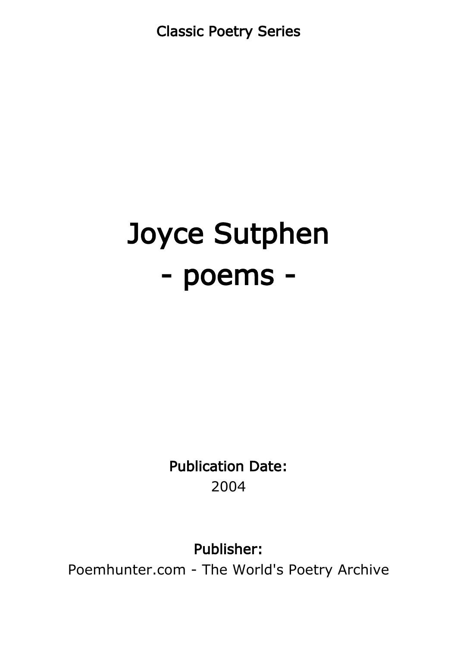Classic Poetry Series

# Joyce Sutphen - poems -

Publication Date: 2004

Publisher:

Poemhunter.com - The World's Poetry Archive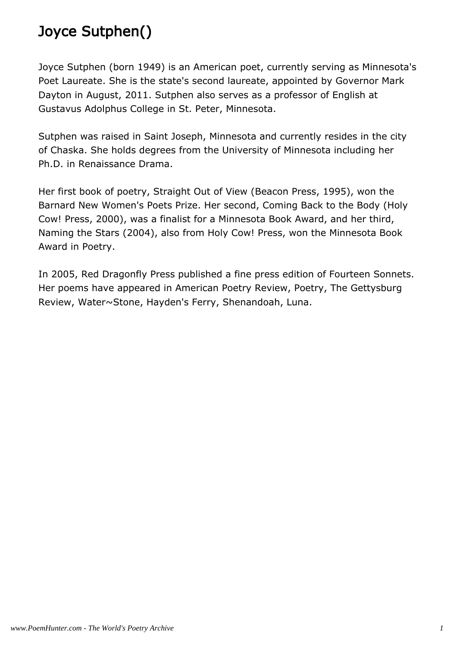# Joyce Sutphen()

Joyce Sutphen (born 1949) is an American poet, currently serving as Minnesota's Poet Laureate. She is the state's second laureate, appointed by Governor Mark Dayton in August, 2011. Sutphen also serves as a professor of English at Gustavus Adolphus College in St. Peter, Minnesota.

Sutphen was raised in Saint Joseph, Minnesota and currently resides in the city of Chaska. She holds degrees from the University of Minnesota including her Ph.D. in Renaissance Drama.

Her first book of poetry, Straight Out of View (Beacon Press, 1995), won the Barnard New Women's Poets Prize. Her second, Coming Back to the Body (Holy Cow! Press, 2000), was a finalist for a Minnesota Book Award, and her third, Naming the Stars (2004), also from Holy Cow! Press, won the Minnesota Book Award in Poetry.

In 2005, Red Dragonfly Press published a fine press edition of Fourteen Sonnets. Her poems have appeared in American Poetry Review, Poetry, The Gettysburg Review, Water~Stone, Hayden's Ferry, Shenandoah, Luna.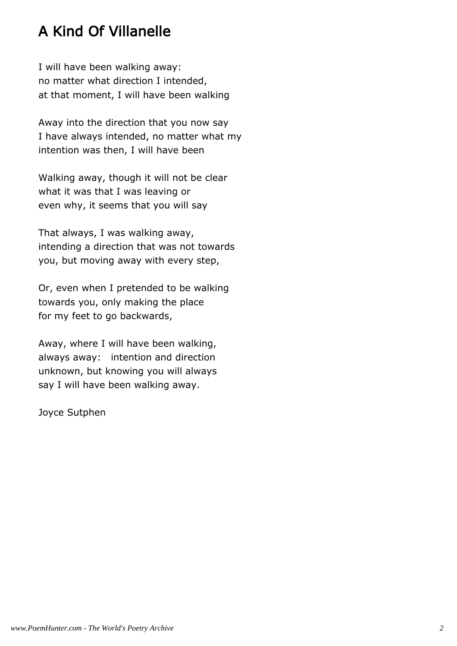# A Kind Of Villanelle

I will have been walking away: no matter what direction I intended, at that moment, I will have been walking

Away into the direction that you now say I have always intended, no matter what my intention was then, I will have been

Walking away, though it will not be clear what it was that I was leaving or even why, it seems that you will say

That always, I was walking away, intending a direction that was not towards you, but moving away with every step,

Or, even when I pretended to be walking towards you, only making the place for my feet to go backwards,

Away, where I will have been walking, always away: intention and direction unknown, but knowing you will always say I will have been walking away.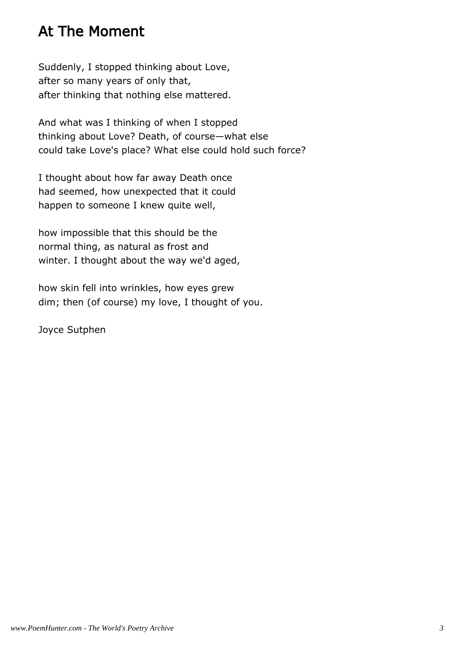# At The Moment

Suddenly, I stopped thinking about Love, after so many years of only that, after thinking that nothing else mattered.

And what was I thinking of when I stopped thinking about Love? Death, of course—what else could take Love's place? What else could hold such force?

I thought about how far away Death once had seemed, how unexpected that it could happen to someone I knew quite well,

how impossible that this should be the normal thing, as natural as frost and winter. I thought about the way we'd aged,

how skin fell into wrinkles, how eyes grew dim; then (of course) my love, I thought of you.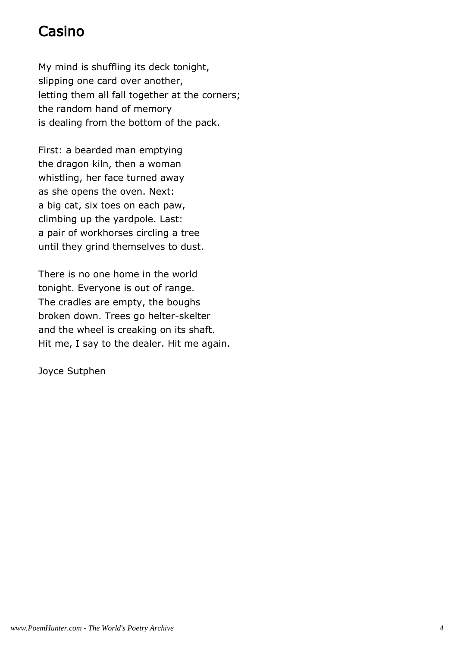# Casino

My mind is shuffling its deck tonight, slipping one card over another, letting them all fall together at the corners; the random hand of memory is dealing from the bottom of the pack.

First: a bearded man emptying the dragon kiln, then a woman whistling, her face turned away as she opens the oven. Next: a big cat, six toes on each paw, climbing up the yardpole. Last: a pair of workhorses circling a tree until they grind themselves to dust.

There is no one home in the world tonight. Everyone is out of range. The cradles are empty, the boughs broken down. Trees go helter-skelter and the wheel is creaking on its shaft. Hit me, I say to the dealer. Hit me again.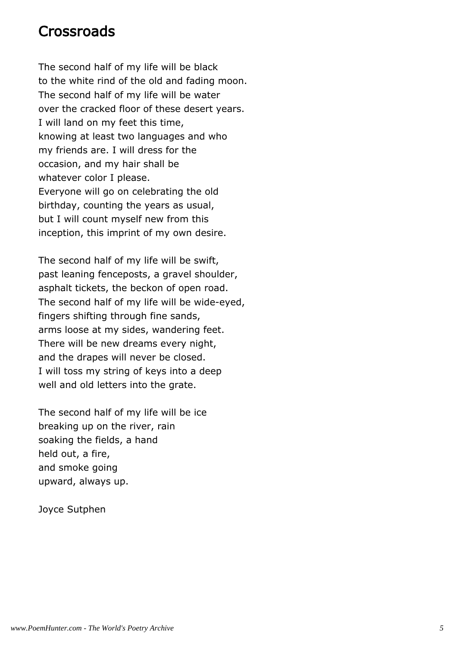#### **Crossroads**

The second half of my life will be black to the white rind of the old and fading moon. The second half of my life will be water over the cracked floor of these desert years. I will land on my feet this time, knowing at least two languages and who my friends are. I will dress for the occasion, and my hair shall be whatever color I please. Everyone will go on celebrating the old birthday, counting the years as usual, but I will count myself new from this inception, this imprint of my own desire.

The second half of my life will be swift, past leaning fenceposts, a gravel shoulder, asphalt tickets, the beckon of open road. The second half of my life will be wide-eyed, fingers shifting through fine sands, arms loose at my sides, wandering feet. There will be new dreams every night, and the drapes will never be closed. I will toss my string of keys into a deep well and old letters into the grate.

The second half of my life will be ice breaking up on the river, rain soaking the fields, a hand held out, a fire, and smoke going upward, always up.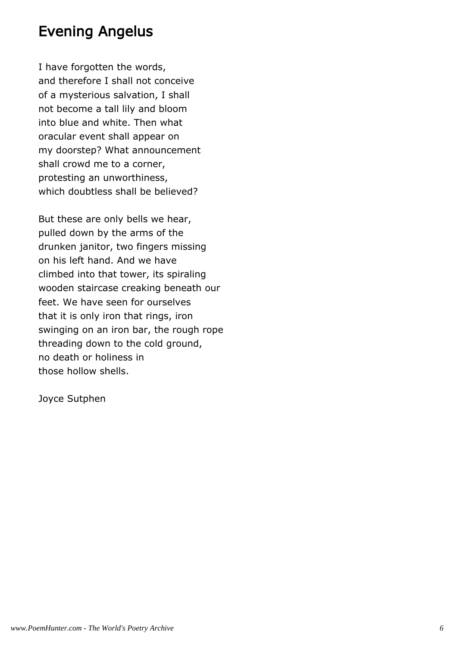# Evening Angelus

I have forgotten the words, and therefore I shall not conceive of a mysterious salvation, I shall not become a tall lily and bloom into blue and white. Then what oracular event shall appear on my doorstep? What announcement shall crowd me to a corner, protesting an unworthiness, which doubtless shall be believed?

But these are only bells we hear, pulled down by the arms of the drunken janitor, two fingers missing on his left hand. And we have climbed into that tower, its spiraling wooden staircase creaking beneath our feet. We have seen for ourselves that it is only iron that rings, iron swinging on an iron bar, the rough rope threading down to the cold ground, no death or holiness in those hollow shells.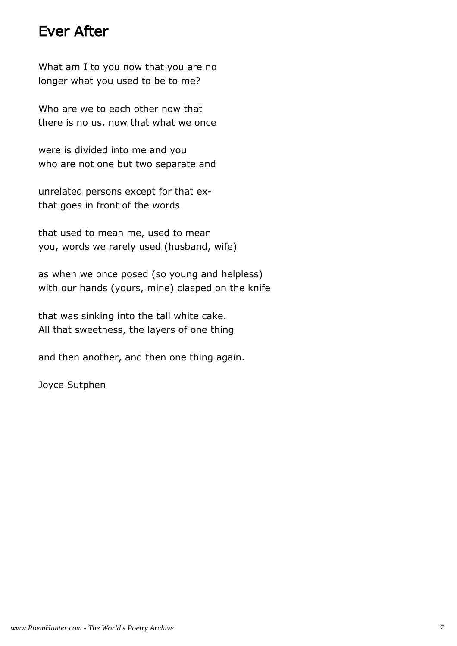#### Ever After

What am I to you now that you are no longer what you used to be to me?

Who are we to each other now that there is no us, now that what we once

were is divided into me and you who are not one but two separate and

unrelated persons except for that exthat goes in front of the words

that used to mean me, used to mean you, words we rarely used (husband, wife)

as when we once posed (so young and helpless) with our hands (yours, mine) clasped on the knife

that was sinking into the tall white cake. All that sweetness, the layers of one thing

and then another, and then one thing again.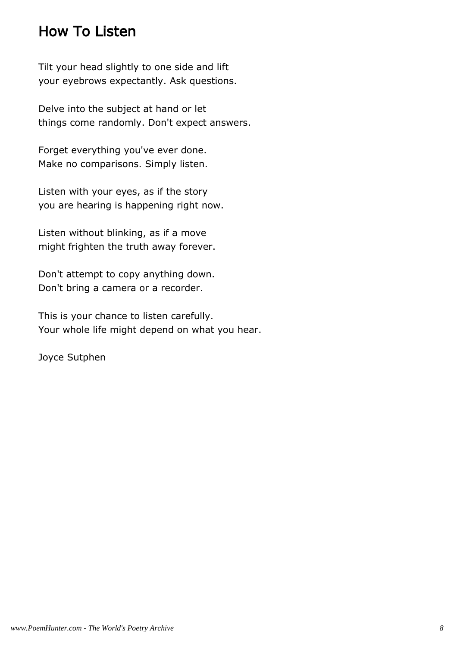## How To Listen

Tilt your head slightly to one side and lift your eyebrows expectantly. Ask questions.

Delve into the subject at hand or let things come randomly. Don't expect answers.

Forget everything you've ever done. Make no comparisons. Simply listen.

Listen with your eyes, as if the story you are hearing is happening right now.

Listen without blinking, as if a move might frighten the truth away forever.

Don't attempt to copy anything down. Don't bring a camera or a recorder.

This is your chance to listen carefully. Your whole life might depend on what you hear.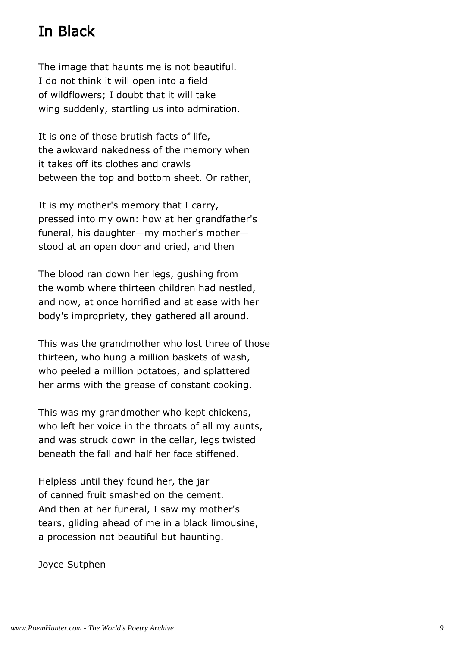# In Black

The image that haunts me is not beautiful. I do not think it will open into a field of wildflowers; I doubt that it will take wing suddenly, startling us into admiration.

It is one of those brutish facts of life, the awkward nakedness of the memory when it takes off its clothes and crawls between the top and bottom sheet. Or rather,

It is my mother's memory that I carry, pressed into my own: how at her grandfather's funeral, his daughter—my mother's mother stood at an open door and cried, and then

The blood ran down her legs, gushing from the womb where thirteen children had nestled, and now, at once horrified and at ease with her body's impropriety, they gathered all around.

This was the grandmother who lost three of those thirteen, who hung a million baskets of wash, who peeled a million potatoes, and splattered her arms with the grease of constant cooking.

This was my grandmother who kept chickens, who left her voice in the throats of all my aunts, and was struck down in the cellar, legs twisted beneath the fall and half her face stiffened.

Helpless until they found her, the jar of canned fruit smashed on the cement. And then at her funeral, I saw my mother's tears, gliding ahead of me in a black limousine, a procession not beautiful but haunting.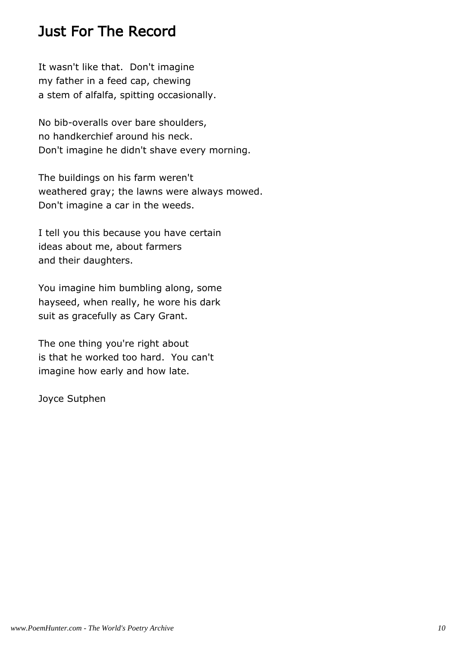# Just For The Record

It wasn't like that. Don't imagine my father in a feed cap, chewing a stem of alfalfa, spitting occasionally.

No bib-overalls over bare shoulders, no handkerchief around his neck. Don't imagine he didn't shave every morning.

The buildings on his farm weren't weathered gray; the lawns were always mowed. Don't imagine a car in the weeds.

I tell you this because you have certain ideas about me, about farmers and their daughters.

You imagine him bumbling along, some hayseed, when really, he wore his dark suit as gracefully as Cary Grant.

The one thing you're right about is that he worked too hard. You can't imagine how early and how late.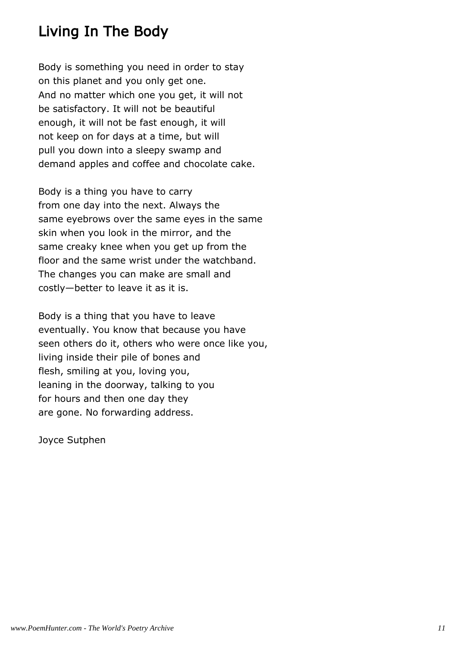# Living In The Body

Body is something you need in order to stay on this planet and you only get one. And no matter which one you get, it will not be satisfactory. It will not be beautiful enough, it will not be fast enough, it will not keep on for days at a time, but will pull you down into a sleepy swamp and demand apples and coffee and chocolate cake.

Body is a thing you have to carry from one day into the next. Always the same eyebrows over the same eyes in the same skin when you look in the mirror, and the same creaky knee when you get up from the floor and the same wrist under the watchband. The changes you can make are small and costly—better to leave it as it is.

Body is a thing that you have to leave eventually. You know that because you have seen others do it, others who were once like you, living inside their pile of bones and flesh, smiling at you, loving you, leaning in the doorway, talking to you for hours and then one day they are gone. No forwarding address.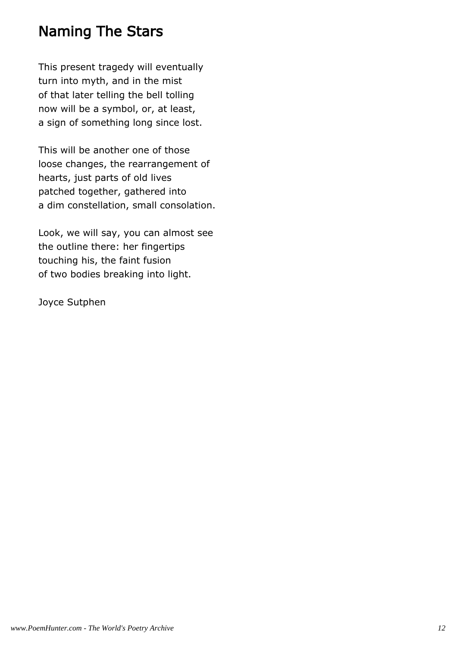### Naming The Stars

This present tragedy will eventually turn into myth, and in the mist of that later telling the bell tolling now will be a symbol, or, at least, a sign of something long since lost.

This will be another one of those loose changes, the rearrangement of hearts, just parts of old lives patched together, gathered into a dim constellation, small consolation.

Look, we will say, you can almost see the outline there: her fingertips touching his, the faint fusion of two bodies breaking into light.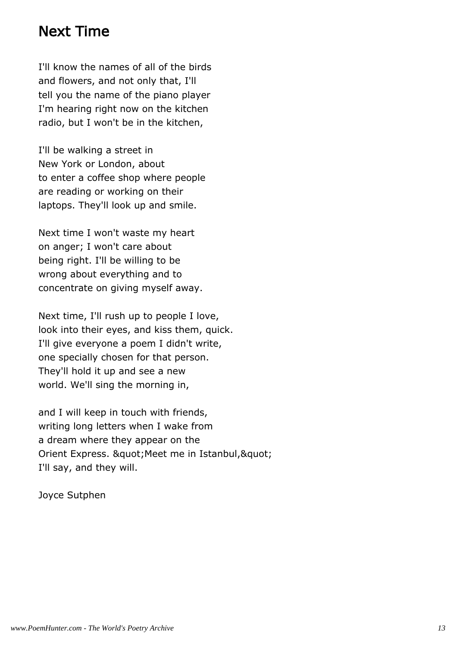#### Next Time

I'll know the names of all of the birds and flowers, and not only that, I'll tell you the name of the piano player I'm hearing right now on the kitchen radio, but I won't be in the kitchen,

I'll be walking a street in New York or London, about to enter a coffee shop where people are reading or working on their laptops. They'll look up and smile.

Next time I won't waste my heart on anger; I won't care about being right. I'll be willing to be wrong about everything and to concentrate on giving myself away.

Next time, I'll rush up to people I love, look into their eyes, and kiss them, quick. I'll give everyone a poem I didn't write, one specially chosen for that person. They'll hold it up and see a new world. We'll sing the morning in,

and I will keep in touch with friends, writing long letters when I wake from a dream where they appear on the Orient Express. " Meet me in Istanbul, " I'll say, and they will.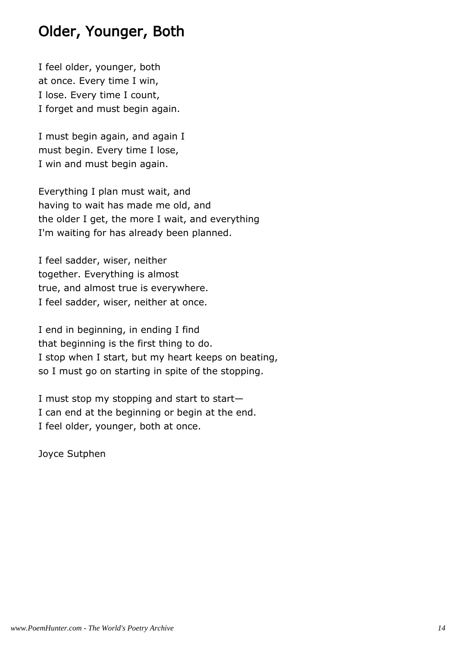# Older, Younger, Both

I feel older, younger, both at once. Every time I win, I lose. Every time I count, I forget and must begin again.

I must begin again, and again I must begin. Every time I lose, I win and must begin again.

Everything I plan must wait, and having to wait has made me old, and the older I get, the more I wait, and everything I'm waiting for has already been planned.

I feel sadder, wiser, neither together. Everything is almost true, and almost true is everywhere. I feel sadder, wiser, neither at once.

I end in beginning, in ending I find that beginning is the first thing to do. I stop when I start, but my heart keeps on beating, so I must go on starting in spite of the stopping.

I must stop my stopping and start to start— I can end at the beginning or begin at the end. I feel older, younger, both at once.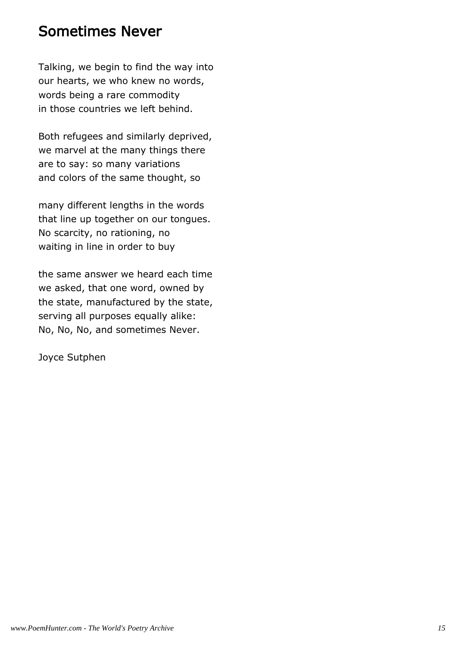#### Sometimes Never

Talking, we begin to find the way into our hearts, we who knew no words, words being a rare commodity in those countries we left behind.

Both refugees and similarly deprived, we marvel at the many things there are to say: so many variations and colors of the same thought, so

many different lengths in the words that line up together on our tongues. No scarcity, no rationing, no waiting in line in order to buy

the same answer we heard each time we asked, that one word, owned by the state, manufactured by the state, serving all purposes equally alike: No, No, No, and sometimes Never.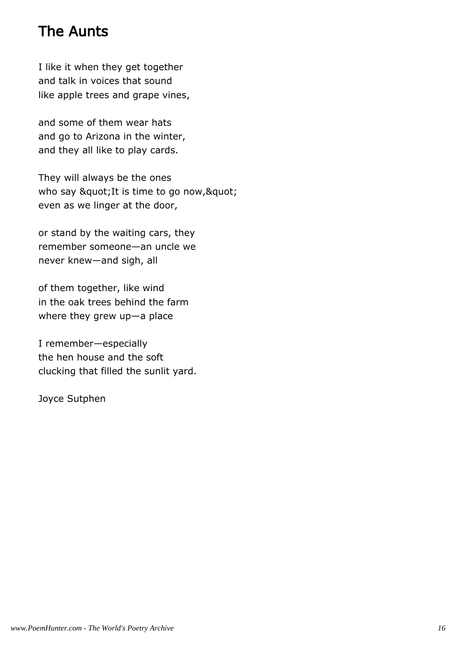# The Aunts

I like it when they get together and talk in voices that sound like apple trees and grape vines,

and some of them wear hats and go to Arizona in the winter, and they all like to play cards.

They will always be the ones who say & quot; It is time to go now, & quot; even as we linger at the door,

or stand by the waiting cars, they remember someone—an uncle we never knew—and sigh, all

of them together, like wind in the oak trees behind the farm where they grew up—a place

I remember—especially the hen house and the soft clucking that filled the sunlit yard.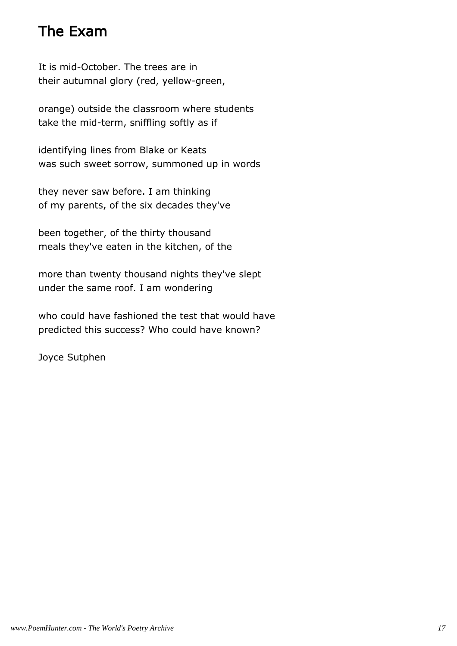# The Exam

It is mid-October. The trees are in their autumnal glory (red, yellow-green,

orange) outside the classroom where students take the mid-term, sniffling softly as if

identifying lines from Blake or Keats was such sweet sorrow, summoned up in words

they never saw before. I am thinking of my parents, of the six decades they've

been together, of the thirty thousand meals they've eaten in the kitchen, of the

more than twenty thousand nights they've slept under the same roof. I am wondering

who could have fashioned the test that would have predicted this success? Who could have known?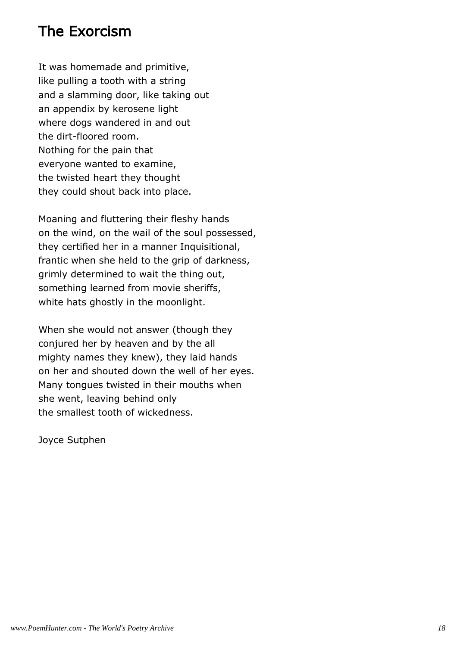# The Exorcism

It was homemade and primitive, like pulling a tooth with a string and a slamming door, like taking out an appendix by kerosene light where dogs wandered in and out the dirt-floored room. Nothing for the pain that everyone wanted to examine, the twisted heart they thought they could shout back into place.

Moaning and fluttering their fleshy hands on the wind, on the wail of the soul possessed, they certified her in a manner Inquisitional, frantic when she held to the grip of darkness, grimly determined to wait the thing out, something learned from movie sheriffs, white hats ghostly in the moonlight.

When she would not answer (though they conjured her by heaven and by the all mighty names they knew), they laid hands on her and shouted down the well of her eyes. Many tongues twisted in their mouths when she went, leaving behind only the smallest tooth of wickedness.